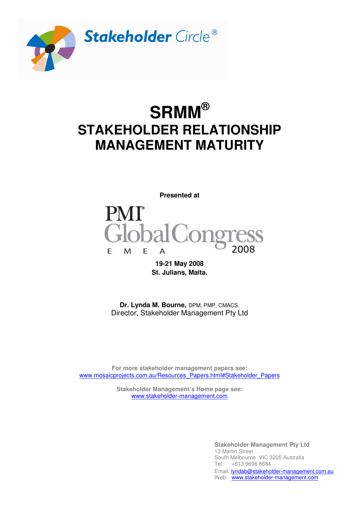

# **SRMM® STAKEHOLDER RELATIONSHIP MANAGEMENT MATURITY**



**19-21 May 2008 St. Julians, Malta.** 

**Dr. Lynda M. Bourne,** DPM, PMP, CMACS. Director, Stakeholder Management Pty Ltd

**For more stakeholder management papers see:**  www.mosaicprojects.com.au/Resources\_Papers.html#Stakeholder\_Papers

> **Stakeholder Management's Home page see:**  www.stakeholder-management.com

> > **Stakeholder Management Pty Ltd**  13 Martin Street South Melbourne VIC 3205 Australia Tel: +613 9696 8684 Email: **lyndab@stakeholder-management.com.au** Web: www.stakeholder-management.com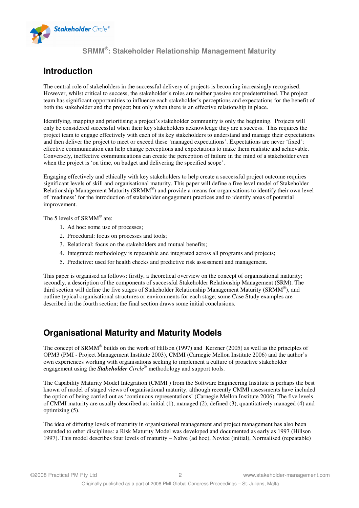

# **Introduction**

The central role of stakeholders in the successful delivery of projects is becoming increasingly recognised. However, whilst critical to success, the stakeholder's roles are neither passive nor predetermined. The project team has significant opportunities to influence each stakeholder's perceptions and expectations for the benefit of both the stakeholder and the project; but only when there is an effective relationship in place.

Identifying, mapping and prioritising a project's stakeholder community is only the beginning. Projects will only be considered successful when their key stakeholders acknowledge they are a success. This requires the project team to engage effectively with each of its key stakeholders to understand and manage their expectations and then deliver the project to meet or exceed these 'managed expectations'. Expectations are never 'fixed'; effective communication can help change perceptions and expectations to make them realistic and achievable. Conversely, ineffective communications can create the perception of failure in the mind of a stakeholder even when the project is 'on time, on budget and delivering the specified scope'.

Engaging effectively and ethically with key stakeholders to help create a successful project outcome requires significant levels of skill and organisational maturity. This paper will define a five level model of Stakeholder Relationship Management Maturity (SRMM®) and provide a means for organisations to identify their own level of 'readiness' for the introduction of stakeholder engagement practices and to identify areas of potential improvement.

The 5 levels of SRMM<sup>®</sup> are:

- 1. Ad hoc: some use of processes;
- 2. Procedural: focus on processes and tools;
- 3. Relational: focus on the stakeholders and mutual benefits;
- 4. Integrated: methodology is repeatable and integrated across all programs and projects;
- 5. Predictive: used for health checks and predictive risk assessment and management.

This paper is organised as follows: firstly, a theoretical overview on the concept of organisational maturity; secondly, a description of the components of successful Stakeholder Relationship Management (SRM). The third section will define the five stages of Stakeholder Relationship Management Maturity (SRMM®), and outline typical organisational structures or environments for each stage; some Case Study examples are described in the fourth section; the final section draws some initial conclusions.

# **Organisational Maturity and Maturity Models**

The concept of SRMM<sup>®</sup> builds on the work of Hillson (1997) and Kerzner (2005) as well as the principles of OPM3 (PMI - Project Management Institute 2003), CMMI (Carnegie Mellon Institute 2006) and the author's own experiences working with organisations seeking to implement a culture of proactive stakeholder engagement using the *Stakeholder Circle®* methodology and support tools.

The Capability Maturity Model Integration (CMMI ) from the Software Engineering Institute is perhaps the best known of model of staged views of organisational maturity, although recently CMMI assessments have included the option of being carried out as 'continuous representations' (Carnegie Mellon Institute 2006). The five levels of CMMI maturity are usually described as: initial (1), managed (2), defined (3), quantitatively managed (4) and optimizing (5).

The idea of differing levels of maturity in organisational management and project management has also been extended to other disciplines: a Risk Maturity Model was developed and documented as early as 1997 (Hillson 1997). This model describes four levels of maturity – Naïve (ad hoc), Novice (initial), Normalised (repeatable)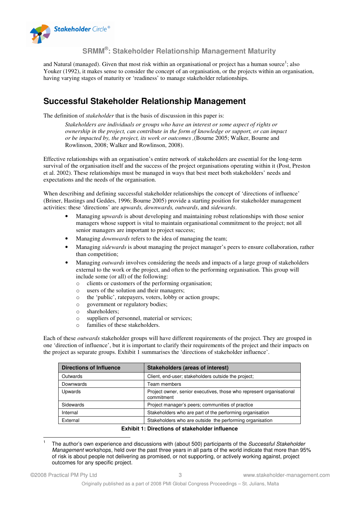

and Natural (managed). Given that most risk within an organisational or project has a human source<sup>1</sup>; also Youker (1992), it makes sense to consider the concept of an organisation, or the projects within an organisation, having varying stages of maturity or 'readiness' to manage stakeholder relationships.

# **Successful Stakeholder Relationship Management**

The definition of *stakeholder* that is the basis of discussion in this paper is:

*Stakeholders are individuals or groups who have an interest or some aspect of rights or ownership in the project, can contribute in the form of knowledge or support, or can impact or be impacted by, the project, its work or outcomes ,*(Bourne 2005; Walker, Bourne and Rowlinson, 2008; Walker and Rowlinson, 2008).

Effective relationships with an organisation's entire network of stakeholders are essential for the long-term survival of the organisation itself and the success of the project organisations operating within it (Post, Preston et al. 2002). These relationships must be managed in ways that best meet both stakeholders' needs and expectations and the needs of the organisation.

When describing and defining successful stakeholder relationships the concept of 'directions of influence' (Briner, Hastings and Geddes, 1996; Bourne 2005) provide a starting position for stakeholder management activities: these 'directions' are *upwards, downwards, outwards*, and *sidewards*.

- Managing *upwards* is about developing and maintaining robust relationships with those senior managers whose support is vital to maintain organisational commitment to the project; not all senior managers are important to project success;
- Managing *downwards* refers to the idea of managing the team;
- Managing *sidewards* is about managing the project manager's peers to ensure collaboration, rather than competition;
- Managing *outwards* involves considering the needs and impacts of a large group of stakeholders external to the work or the project, and often to the performing organisation. This group will include some (or all) of the following:
	- o clients or customers of the performing organisation;
	- o users of the solution and their managers;
	- o the 'public', ratepayers, voters, lobby or action groups;
	- o government or regulatory bodies;
	- o shareholders;
	- o suppliers of personnel, material or services;
	- o families of these stakeholders.

Each of these *outwards* stakeholder groups will have different requirements of the project. They are grouped in one 'direction of influence', but it is important to clarify their requirements of the project and their impacts on the project as separate groups. Exhibit 1 summarises the 'directions of stakeholder influence'.

| <b>Stakeholders (areas of interest)</b>                                            |
|------------------------------------------------------------------------------------|
| Client, end-user; stakeholders outside the project;                                |
| Team members                                                                       |
| Project owner, senior executives, those who represent organisational<br>commitment |
| Project manager's peers; communities of practice                                   |
| Stakeholders who are part of the performing organisation                           |
| Stakeholders who are outside the performing organisation                           |
|                                                                                    |

#### **Exhibit 1: Directions of stakeholder influence**

 $\overline{\phantom{a}}$ 1 The author's own experience and discussions with (about 500) participants of the Successful Stakeholder Management workshops, held over the past three years in all parts of the world indicate that more than 95% of risk is about people not delivering as promised, or not supporting, or actively working against, project outcomes for any specific project.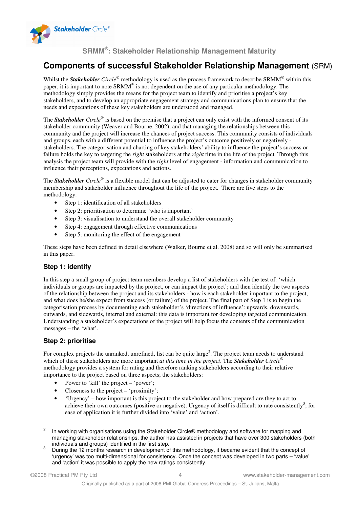

# **Components of successful Stakeholder Relationship Management** (SRM)

Whilst the *Stakeholder Circle®* methodology is used as the process framework to describe SRMM® within this paper, it is important to note SRMM® is not dependent on the use of any particular methodology. The methodology simply provides the means for the project team to identify and prioritise a project's key stakeholders, and to develop an appropriate engagement strategy and communications plan to ensure that the needs and expectations of these key stakeholders are understood and managed.

The *Stakeholder Circle®* is based on the premise that a project can only exist with the informed consent of its stakeholder community (Weaver and Bourne, 2002), and that managing the relationships between this community and the project will increase the chances of project success. This community consists of individuals and groups, each with a different potential to influence the project's outcome positively or negatively stakeholders. The categorisation and charting of key stakeholders' ability to influence the project's success or failure holds the key to targeting the *right* stakeholders at the *right* time in the life of the project. Through this analysis the project team will provide with the *right* level of engagement - information and communication to influence their perceptions, expectations and actions.

The *Stakeholder Circle®* is a flexible model that can be adjusted to cater for changes in stakeholder community membership and stakeholder influence throughout the life of the project. There are five steps to the methodology:

- Step 1: identification of all stakeholders
- Step 2: prioritisation to determine 'who is important'
- Step 3: visualisation to understand the overall stakeholder community
- Step 4: engagement through effective communications
- Step 5: monitoring the effect of the engagement

These steps have been defined in detail elsewhere (Walker, Bourne et al. 2008) and so will only be summarised in this paper.

## **Step 1: identify**

In this step a small group of project team members develop a list of stakeholders with the test of: 'which individuals or groups are impacted by the project, or can impact the project'; and then identify the two aspects of the relationship between the project and its stakeholders - how is each stakeholder important to the project, and what does he/she expect from success (or failure) of the project. The final part of Step 1 is to begin the categorisation process by documenting each stakeholder's 'directions of influence': upwards, downwards, outwards, and sidewards, internal and external: this data is important for developing targeted communication. Understanding a stakeholder's expectations of the project will help focus the contents of the communication messages – the 'what'.

## **Step 2: prioritise**

For complex projects the unranked, unrefined, list can be quite large<sup>2</sup>. The project team needs to understand which of these stakeholders are more important *at this time in the project*. The *Stakeholder Circle*® methodology provides a system for rating and therefore ranking stakeholders according to their relative importance to the project based on three aspects; the stakeholders:

- Power to 'kill' the project 'power';
- Closeness to the project 'proximity';
- 'Urgency' how important is this project to the stakeholder and how prepared are they to act to achieve their own outcomes (positive or negative). Urgency of itself is difficult to rate consistently<sup>3</sup>; for ease of application it is further divided into 'value' and 'action'.

 $\overline{c}$ In working with organisations using the Stakeholder Circle® methodology and software for mapping and managing stakeholder relationships, the author has assisted in projects that have over 300 stakeholders (both individuals and groups) identified in the first step.

<sup>&</sup>lt;sup>3</sup> During the 12 months research in development of this methodology, it became evident that the concept of 'urgency' was too multi-dimensional for consistency. Once the concept was developed in two parts – 'value' and 'action' it was possible to apply the new ratings consistently.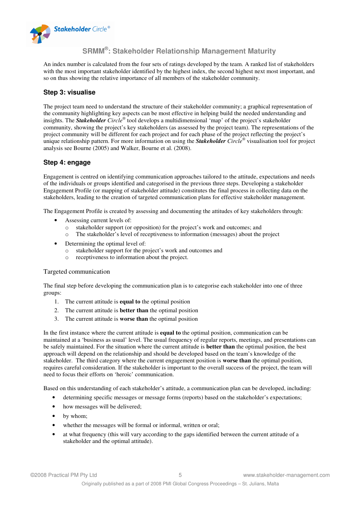

An index number is calculated from the four sets of ratings developed by the team. A ranked list of stakeholders with the most important stakeholder identified by the highest index, the second highest next most important, and so on thus showing the relative importance of all members of the stakeholder community.

#### **Step 3: visualise**

The project team need to understand the structure of their stakeholder community; a graphical representation of the community highlighting key aspects can be most effective in helping build the needed understanding and insights. The *Stakeholder Circle®* tool develops a multidimensional 'map' of the project's stakeholder community, showing the project's key stakeholders (as assessed by the project team). The representations of the project community will be different for each project and for each phase of the project reflecting the project's unique relationship pattern. For more information on using the *Stakeholder Circle®* visualisation tool for project analysis see Bourne (2005) and Walker, Bourne et al. (2008).

#### **Step 4: engage**

Engagement is centred on identifying communication approaches tailored to the attitude, expectations and needs of the individuals or groups identified and categorised in the previous three steps. Developing a stakeholder Engagement Profile (or mapping of stakeholder attitude) constitutes the final process in collecting data on the stakeholders, leading to the creation of targeted communication plans for effective stakeholder management.

The Engagement Profile is created by assessing and documenting the attitudes of key stakeholders through:

- Assessing current levels of:
	- o stakeholder support (or opposition) for the project's work and outcomes; and
	- o The stakeholder's level of receptiveness to information (messages) about the project
- Determining the optimal level of:
	- o stakeholder support for the project's work and outcomes and
	- o receptiveness to information about the project.

#### Targeted communication

The final step before developing the communication plan is to categorise each stakeholder into one of three groups:

- 1. The current attitude is **equal to** the optimal position
- 2. The current attitude is **better than** the optimal position
- 3. The current attitude is **worse than** the optimal position

In the first instance where the current attitude is **equal to** the optimal position, communication can be maintained at a 'business as usual' level. The usual frequency of regular reports, meetings, and presentations can be safely maintained. For the situation where the current attitude is **better than** the optimal position, the best approach will depend on the relationship and should be developed based on the team's knowledge of the stakeholder. The third category where the current engagement position is **worse than** the optimal position, requires careful consideration. If the stakeholder is important to the overall success of the project, the team will need to focus their efforts on 'heroic' communication.

Based on this understanding of each stakeholder's attitude, a communication plan can be developed, including:

- determining specific messages or message forms (reports) based on the stakeholder's expectations;
- how messages will be delivered;
- by whom;
- whether the messages will be formal or informal, written or oral;
- at what frequency (this will vary according to the gaps identified between the current attitude of a stakeholder and the optimal attitude).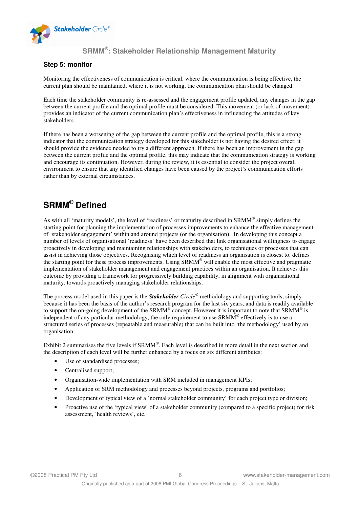

#### **Step 5: monitor**

Monitoring the effectiveness of communication is critical, where the communication is being effective, the current plan should be maintained, where it is not working, the communication plan should be changed.

Each time the stakeholder community is re-assessed and the engagement profile updated, any changes in the gap between the current profile and the optimal profile must be considered. This movement (or lack of movement) provides an indicator of the current communication plan's effectiveness in influencing the attitudes of key stakeholders.

If there has been a worsening of the gap between the current profile and the optimal profile, this is a strong indicator that the communication strategy developed for this stakeholder is not having the desired effect; it should provide the evidence needed to try a different approach. If there has been an improvement in the gap between the current profile and the optimal profile, this may indicate that the communication strategy is working and encourage its continuation. However, during the review, it is essential to consider the project overall environment to ensure that any identified changes have been caused by the project's communication efforts rather than by external circumstances.

# **SRMM® Defined**

As with all 'maturity models', the level of 'readiness' or maturity described in SRMM® simply defines the starting point for planning the implementation of processes improvements to enhance the effective management of 'stakeholder engagement' within and around projects (or the organisation). In developing this concept a number of levels of organisational 'readiness' have been described that link organisational willingness to engage proactively in developing and maintaining relationships with stakeholders, to techniques or processes that can assist in achieving those objectives. Recognising which level of readiness an organisation is closest to, defines the starting point for these process improvements. Using SRMM® will enable the most effective and pragmatic implementation of stakeholder management and engagement practices within an organisation. It achieves this outcome by providing a framework for progressively building capability, in alignment with organisational maturity, towards proactively managing stakeholder relationships.

The process model used in this paper is the *Stakeholder Circle®* methodology and supporting tools, simply because it has been the basis of the author's research program for the last six years, and data is readily available to support the on-going development of the SRMM® concept. However it is important to note that SRMM® is independent of any particular methodology, the only requirement to use SRM $\hat{M}^{\circ}$  effectively is to use a structured series of processes (repeatable and measurable) that can be built into 'the methodology' used by an organisation.

Exhibit 2 summarises the five levels if  $SRAM^{\circ}$ . Each level is described in more detail in the next section and the description of each level will be further enhanced by a focus on six different attributes:

- Use of standardised processes;
- Centralised support;
- Organisation-wide implementation with SRM included in management KPIs;
- Application of SRM methodology and processes beyond projects, programs and portfolios;
- Development of typical view of a 'normal stakeholder community' for each project type or division;
- Proactive use of the 'typical view' of a stakeholder community (compared to a specific project) for risk assessment, 'health reviews', etc.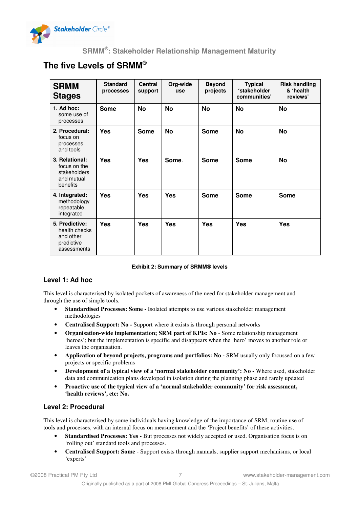

# **The five Levels of SRMM®**

| <b>SRMM</b><br><b>Stages</b>                                              | <b>Standard</b><br>processes | <b>Central</b><br>support | Org-wide<br>use | <b>Beyond</b><br>projects | <b>Typical</b><br>'stakeholder<br>communities' | <b>Risk handling</b><br>& 'health<br>reviews' |
|---------------------------------------------------------------------------|------------------------------|---------------------------|-----------------|---------------------------|------------------------------------------------|-----------------------------------------------|
| $1.$ Ad hoc:<br>some use of<br>processes                                  | <b>Some</b>                  | <b>No</b>                 | <b>No</b>       | <b>No</b>                 | <b>No</b>                                      | No                                            |
| 2. Procedural:<br>focus on<br>processes<br>and tools                      | <b>Yes</b>                   | <b>Some</b>               | <b>No</b>       | <b>Some</b>               | <b>No</b>                                      | <b>No</b>                                     |
| 3. Relational:<br>focus on the<br>stakeholders<br>and mutual<br>benefits  | <b>Yes</b>                   | <b>Yes</b>                | Some.           | <b>Some</b>               | <b>Some</b>                                    | <b>No</b>                                     |
| 4. Integrated:<br>methodology<br>repeatable,<br>integrated                | <b>Yes</b>                   | <b>Yes</b>                | <b>Yes</b>      | <b>Some</b>               | <b>Some</b>                                    | Some                                          |
| 5. Predictive:<br>health checks<br>and other<br>predictive<br>assessments | Yes                          | <b>Yes</b>                | Yes             | <b>Yes</b>                | Yes                                            | Yes                                           |

#### **Exhibit 2: Summary of SRMM® levels**

## **Level 1: Ad hoc**

This level is characterised by isolated pockets of awareness of the need for stakeholder management and through the use of simple tools.

- **Standardised Processes: Some -** Isolated attempts to use various stakeholder management methodologies
- **Centralised Support: No -** Support where it exists is through personal networks
- **Organisation-wide implementation; SRM part of KPIs: No**  Some relationship management 'heroes'; but the implementation is specific and disappears when the 'hero' moves to another role or leaves the organisation.
- **Application of beyond projects, programs and portfolios: No -** SRM usually only focussed on a few projects or specific problems
- **Development of a typical view of a 'normal stakeholder community': No -** Where used, stakeholder data and communication plans developed in isolation during the planning phase and rarely updated
- **Proactive use of the typical view of a 'normal stakeholder community' for risk assessment, 'health reviews', etc: No.**

## **Level 2: Procedural**

This level is characterised by some individuals having knowledge of the importance of SRM, routine use of tools and processes, with an internal focus on measurement and the 'Project benefits' of these activities.

- **Standardised Processes: Yes** But processes not widely accepted or used. Organisation focus is on 'rolling out' standard tools and processes.
- **Centralised Support: Some** Support exists through manuals, supplier support mechanisms, or local 'experts'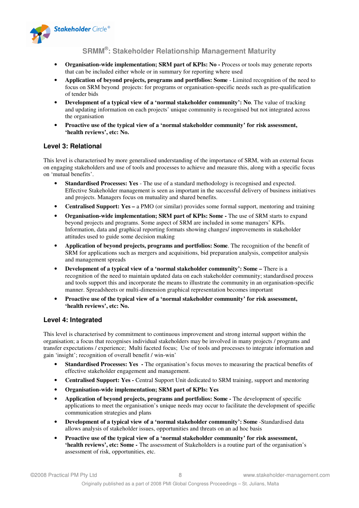

- **Organisation-wide implementation; SRM part of KPIs: No** Process or tools may generate reports that can be included either whole or in summary for reporting where used
- **Application of beyond projects, programs and portfolios: Some** Limited recognition of the need to focus on SRM beyond projects: for programs or organisation-specific needs such as pre-qualification of tender bids
- **Development of a typical view of a 'normal stakeholder community': No.** The value of tracking and updating information on each projects' unique community is recognised but not integrated across the organisation
- **Proactive use of the typical view of a 'normal stakeholder community' for risk assessment, 'health reviews', etc: No.**

#### **Level 3: Relational**

This level is characterised by more generalised understanding of the importance of SRM, with an external focus on engaging stakeholders and use of tools and processes to achieve and measure this, along with a specific focus on 'mutual benefits'.

- **Standardised Processes: Yes** The use of a standard methodology is recognised and expected. Effective Stakeholder management is seen as important in the successful delivery of business initiatives and projects. Managers focus on mutuality and shared benefits.
- **Centralised Support: Yes –** a PMO (or similar) provides some formal support, mentoring and training
- **Organisation-wide implementation; SRM part of KPIs: Some -** The use of SRM starts to expand beyond projects and programs. Some aspect of SRM are included in some managers' KPIs. Information, data and graphical reporting formats showing changes/ improvements in stakeholder attitudes used to guide some decision making
- **Application of beyond projects, programs and portfolios: Some**. The recognition of the benefit of SRM for applications such as mergers and acquisitions, bid preparation analysis, competitor analysis and management spreads
- **Development of a typical view of a 'normal stakeholder community': Some –** There is a recognition of the need to maintain updated data on each stakeholder community; standardised process and tools support this and incorporate the means to illustrate the community in an organisation-specific manner. Spreadsheets or multi-dimension graphical representation becomes important
- **Proactive use of the typical view of a 'normal stakeholder community' for risk assessment, 'health reviews', etc: No.**

#### **Level 4: Integrated**

This level is characterised by commitment to continuous improvement and strong internal support within the organisation; a focus that recognises individual stakeholders may be involved in many projects / programs and transfer expectations / experience; Multi faceted focus; Use of tools and processes to integrate information and gain 'insight'; recognition of overall benefit / win-win'

- **Standardised Processes: Yes -** The organisation's focus moves to measuring the practical benefits of effective stakeholder engagement and management.
- **Centralised Support: Yes -** Central Support Unit dedicated to SRM training, support and mentoring
- **Organisation-wide implementation; SRM part of KPIs: Yes**
- **Application of beyond projects, programs and portfolios: Some -** The development of specific applications to meet the organisation's unique needs may occur to facilitate the development of specific communication strategies and plans
- **Development of a typical view of a 'normal stakeholder community': Some** -Standardised data allows analysis of stakeholder issues, opportunities and threats on an ad hoc basis
- **Proactive use of the typical view of a 'normal stakeholder community' for risk assessment, 'health reviews', etc: Some -** The assessment of Stakeholders is a routine part of the organisation's assessment of risk, opportunities, etc.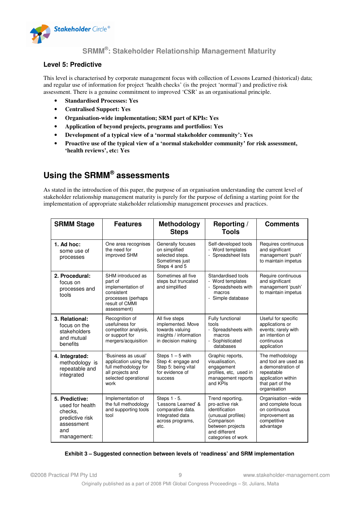

#### **Level 5: Predictive**

This level is characterised by corporate management focus with collection of Lessons Learned (historical) data; and regular use of information for project 'health checks' (is the project 'normal') and predictive risk assessment. There is a genuine commitment to improved 'CSR' as an organisational principle.

- **Standardised Processes: Yes**
- **Centralised Support: Yes**
- **Organisation-wide implementation; SRM part of KPIs: Yes**
- **Application of beyond projects, programs and portfolios: Yes**
- **Development of a typical view of a 'normal stakeholder community': Yes**
- **Proactive use of the typical view of a 'normal stakeholder community' for risk assessment, 'health reviews', etc: Yes**

# **Using the SRMM® assessments**

As stated in the introduction of this paper, the purpose of an organisation understanding the current level of stakeholder relationship management maturity is purely for the purpose of defining a starting point for the implementation of appropriate stakeholder relationship management processes and practices.

| <b>SRMM Stage</b>                                                                                                                                                                | <b>Features</b>                                                                                                          | <b>Methodology</b><br><b>Steps</b>                                                                      | Reporting /<br><b>Tools</b>                                                                                                                          | <b>Comments</b>                                                                                                                       |
|----------------------------------------------------------------------------------------------------------------------------------------------------------------------------------|--------------------------------------------------------------------------------------------------------------------------|---------------------------------------------------------------------------------------------------------|------------------------------------------------------------------------------------------------------------------------------------------------------|---------------------------------------------------------------------------------------------------------------------------------------|
| $1.$ Ad hoc:<br>some use of<br>processes                                                                                                                                         | One area recognises<br>the need for<br>improved SHM                                                                      | Generally focuses<br>on simplified<br>selected steps.<br>Sometimes just<br>Steps 4 and 5                | Self-developed tools<br>- Word templates<br>- Spreadsheet lists                                                                                      | Requires continuous<br>and significant<br>management 'push'<br>to maintain impetus                                                    |
| 2. Procedural:<br>focus on<br>processes and<br>tools                                                                                                                             | SHM introduced as<br>part of<br>implementation of<br>consistent<br>processes (perhaps<br>result of CMMI<br>assessment)   | Sometimes all five<br>steps but truncated<br>and simplified                                             | Standardised tools<br>- Word templates<br>- Spreadsheets with<br>macros<br>- Simple database                                                         | Require continuous<br>and significant<br>management 'push'<br>to maintain impetus                                                     |
| 3. Relational:<br>focus on the<br>stakeholders<br>and mutual<br>benefits                                                                                                         | Recognition of<br>usefulness for<br>competitor analysis,<br>or support for<br>mergers/acquisition                        | All five steps<br>implemented. Move<br>towards valuing<br>insights / information<br>in decision making  | Fully functional<br>tools<br>- Spreadsheets with<br>macros<br>- Sophisticated<br>databases                                                           | Useful for specific<br>applications or<br>events; rarely with<br>an intention of<br>continuous<br>application                         |
| 4. Integrated:<br>methodology is<br>repeatable and<br>integrated                                                                                                                 | 'Business as usual'<br>application using the<br>full methodology for<br>all projects and<br>selected operational<br>work | Steps $1 - 5$ with<br>Step 4: engage and<br>Step 5: being vital<br>for evidence of<br><b>SUCCESS</b>    | Graphic reports,<br>visualisation.<br>engagement<br>profiles, etc, used in<br>management reports<br>and KPIs                                         | The methodology<br>and tool are used as<br>a demonstration of<br>repeatable<br>application within<br>that part of the<br>organisation |
| 5. Predictive:<br>Implementation of<br>the full methodology<br>used for health<br>and supporting tools<br>checks.<br>tool<br>predictive risk<br>assessment<br>and<br>management: |                                                                                                                          | Steps 1 - 5.<br>'Lessons Learned' &<br>comparative data.<br>Integrated data<br>across programs,<br>etc. | Trend reporting,<br>pro-active risk<br>identification<br>(unusual profiles)<br>Comparison<br>between projects<br>and different<br>categories of work | Organisation -wide<br>and complete focus<br>on continuous<br>improvement as<br>competitive<br>advantage                               |

#### **Exhibit 3 – Suggested connection between levels of 'readiness' and SRM implementation**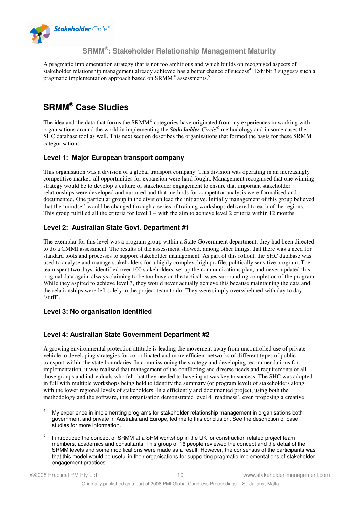

A pragmatic implementation strategy that is not too ambitious and which builds on recognised aspects of stakeholder relationship management already achieved has a better chance of success<sup>4</sup>; Exhibit 3 suggests such a pragmatic implementation approach based on SRMM® assessments.<sup>5</sup>

# **SRMM® Case Studies**

The idea and the data that forms the SRMM® categories have originated from my experiences in working with organisations around the world in implementing the *Stakeholder Circle®* methodology and in some cases the SHC database tool as well. This next section describes the organisations that formed the basis for these SRMM categorisations.

## **Level 1: Major European transport company**

This organisation was a division of a global transport company. This division was operating in an increasingly competitive market: all opportunities for expansion were hard fought. Management recognised that one winning strategy would be to develop a culture of stakeholder engagement to ensure that important stakeholder relationships were developed and nurtured and that methods for competitor analysis were formalised and documented. One particular group in the division lead the initiative. Initially management of this group believed that the 'mindset' would be changed through a series of training workshops delivered to each of the regions. This group fulfilled all the criteria for level 1 – with the aim to achieve level 2 criteria within 12 months.

## **Level 2: Australian State Govt. Department #1**

The exemplar for this level was a program group within a State Government department; they had been directed to do a CMMI assessment. The results of the assessment showed, among other things, that there was a need for standard tools and processes to support stakeholder management. As part of this rollout, the SHC database was used to analyse and manage stakeholders for a highly complex, high profile, politically sensitive program. The team spent two days, identified over 100 stakeholders, set up the communications plan, and never updated this original data again, always claiming to be too busy on the tactical issues surrounding completion of the program. While they aspired to achieve level 3, they would never actually achieve this because maintaining the data and the relationships were left solely to the project team to do. They were simply overwhelmed with day to day 'stuff'.

## **Level 3: No organisation identified**

## **Level 4: Australian State Government Department #2**

A growing environmental protection attitude is leading the movement away from uncontrolled use of private vehicle to developing strategies for co-ordinated and more efficient networks of different types of public transport within the state boundaries. In commissioning the strategy and developing recommendations for implementation, it was realised that management of the conflicting and diverse needs and requirements of all those groups and individuals who felt that they needed to have input was key to success. The SHC was adopted in full with multiple workshops being held to identify the summary (or program level) of stakeholders along with the lower regional levels of stakeholders. In a efficiently and documented project, using both the methodology and the software, this organisation demonstrated level 4 'readiness', even proposing a creative

 $\overline{a}$ 4 My experience in implementing programs for stakeholder relationship management in organisations both government and private in Australia and Europe, led me to this conclusion. See the description of case studies for more information.

<sup>5</sup> I introduced the concept of SRMM at a SHM workshop in the UK for construction related project team members, academics and consultants. This group of 16 people reviewed the concept and the detail of the SRMM levels and some modifications were made as a result. However, the consensus of the participants was that this model would be useful in their organisations for supporting pragmatic implementations of stakeholder engagement practices.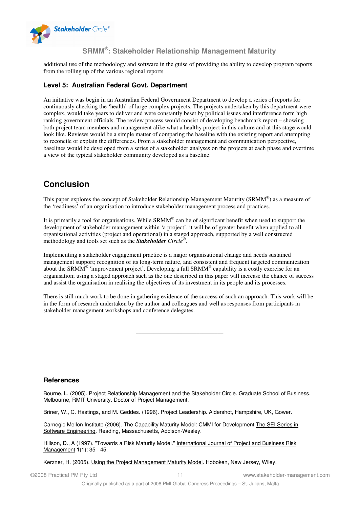

additional use of the methodology and software in the guise of providing the ability to develop program reports from the rolling up of the various regional reports

#### **Level 5: Australian Federal Govt. Department**

An initiative was begin in an Australian Federal Government Department to develop a series of reports for continuously checking the 'health' of large complex projects. The projects undertaken by this department were complex, would take years to deliver and were constantly beset by political issues and interference form high ranking government officials. The review process would consist of developing benchmark report – showing both project team members and management alike what a healthy project in this culture and at this stage would look like. Reviews would be a simple matter of comparing the baseline with the existing report and attempting to reconcile or explain the differences. From a stakeholder management and communication perspective, baselines would be developed from a series of a stakeholder analyses on the projects at each phase and overtime a view of the typical stakeholder community developed as a baseline.

# **Conclusion**

This paper explores the concept of Stakeholder Relationship Management Maturity (SRMM®) as a measure of the 'readiness' of an organisation to introduce stakeholder management process and practices.

It is primarily a tool for organisations. While SRMM<sup>®</sup> can be of significant benefit when used to support the development of stakeholder management within 'a project', it will be of greater benefit when applied to all organisational activities (project and operational) in a staged approach, supported by a well constructed methodology and tools set such as the *Stakeholder Circle®* .

Implementing a stakeholder engagement practice is a major organisational change and needs sustained management support; recognition of its long-term nature, and consistent and frequent targeted communication about the SRMM<sup>®</sup> 'improvement project'. Developing a full SRMM<sup>®</sup> capability is a costly exercise for an organisation; using a staged approach such as the one described in this paper will increase the chance of success and assist the organisation in realising the objectives of its investment in its people and its processes.

There is still much work to be done in gathering evidence of the success of such an approach. This work will be in the form of research undertaken by the author and colleagues and well as responses from participants in stakeholder management workshops and conference delegates.

**\_\_\_\_\_\_\_\_\_\_\_\_\_\_\_\_\_\_\_\_\_\_\_\_\_\_\_\_\_** 

#### **References**

Bourne, L. (2005). Project Relationship Management and the Stakeholder Circle. Graduate School of Business. Melbourne, RMIT University. Doctor of Project Management.

Briner, W., C. Hastings, and M. Geddes. (1996). Project Leadership. Aldershot, Hampshire, UK, Gower.

Carnegie Mellon Institute (2006). The Capability Maturity Model: CMMI for Development The SEI Series in Software Engineering. Reading, Massachusetts, Addison-Wesley.

Hillson, D., A (1997). "Towards a Risk Maturity Model." International Journal of Project and Business Risk Management **1**(1): 35 - 45.

Kerzner, H. (2005). Using the Project Management Maturity Model. Hoboken, New Jersey, Wiley.